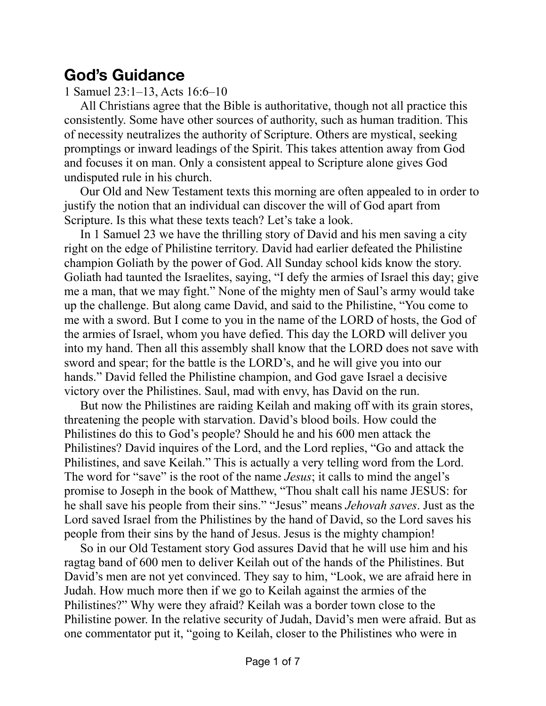## **God's Guidance**

1 Samuel 23:1–13, Acts 16:6–10

All Christians agree that the Bible is authoritative, though not all practice this consistently. Some have other sources of authority, such as human tradition. This of necessity neutralizes the authority of Scripture. Others are mystical, seeking promptings or inward leadings of the Spirit. This takes attention away from God and focuses it on man. Only a consistent appeal to Scripture alone gives God undisputed rule in his church.

Our Old and New Testament texts this morning are often appealed to in order to justify the notion that an individual can discover the will of God apart from Scripture. Is this what these texts teach? Let's take a look.

In 1 Samuel 23 we have the thrilling story of David and his men saving a city right on the edge of Philistine territory. David had earlier defeated the Philistine champion Goliath by the power of God. All Sunday school kids know the story. Goliath had taunted the Israelites, saying, "I defy the armies of Israel this day; give me a man, that we may fight." None of the mighty men of Saul's army would take up the challenge. But along came David, and said to the Philistine, "You come to me with a sword. But I come to you in the name of the LORD of hosts, the God of the armies of Israel, whom you have defied. This day the LORD will deliver you into my hand. Then all this assembly shall know that the LORD does not save with sword and spear; for the battle is the LORD's, and he will give you into our hands." David felled the Philistine champion, and God gave Israel a decisive victory over the Philistines. Saul, mad with envy, has David on the run.

But now the Philistines are raiding Keilah and making off with its grain stores, threatening the people with starvation. David's blood boils. How could the Philistines do this to God's people? Should he and his 600 men attack the Philistines? David inquires of the Lord, and the Lord replies, "Go and attack the Philistines, and save Keilah." This is actually a very telling word from the Lord. The word for "save" is the root of the name *Jesus*; it calls to mind the angel's promise to Joseph in the book of Matthew, "Thou shalt call his name JESUS: for he shall save his people from their sins." "Jesus" means *Jehovah saves*. Just as the Lord saved Israel from the Philistines by the hand of David, so the Lord saves his people from their sins by the hand of Jesus. Jesus is the mighty champion!

So in our Old Testament story God assures David that he will use him and his ragtag band of 600 men to deliver Keilah out of the hands of the Philistines. But David's men are not yet convinced. They say to him, "Look, we are afraid here in Judah. How much more then if we go to Keilah against the armies of the Philistines?" Why were they afraid? Keilah was a border town close to the Philistine power. In the relative security of Judah, David's men were afraid. But as one commentator put it, "going to Keilah, closer to the Philistines who were in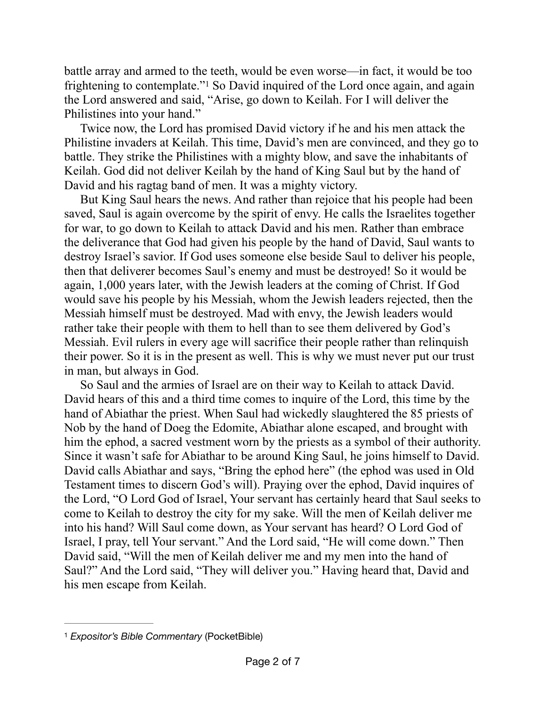<span id="page-1-1"></span>battle array and armed to the teeth, would be even worse—in fact, it would be too frightening to contemplate."<sup>[1](#page-1-0)</sup> So David inquired of the Lord once again, and again the Lord answered and said, "Arise, go down to Keilah. For I will deliver the Philistines into your hand."

Twice now, the Lord has promised David victory if he and his men attack the Philistine invaders at Keilah. This time, David's men are convinced, and they go to battle. They strike the Philistines with a mighty blow, and save the inhabitants of Keilah. God did not deliver Keilah by the hand of King Saul but by the hand of David and his ragtag band of men. It was a mighty victory.

But King Saul hears the news. And rather than rejoice that his people had been saved, Saul is again overcome by the spirit of envy. He calls the Israelites together for war, to go down to Keilah to attack David and his men. Rather than embrace the deliverance that God had given his people by the hand of David, Saul wants to destroy Israel's savior. If God uses someone else beside Saul to deliver his people, then that deliverer becomes Saul's enemy and must be destroyed! So it would be again, 1,000 years later, with the Jewish leaders at the coming of Christ. If God would save his people by his Messiah, whom the Jewish leaders rejected, then the Messiah himself must be destroyed. Mad with envy, the Jewish leaders would rather take their people with them to hell than to see them delivered by God's Messiah. Evil rulers in every age will sacrifice their people rather than relinquish their power. So it is in the present as well. This is why we must never put our trust in man, but always in God.

So Saul and the armies of Israel are on their way to Keilah to attack David. David hears of this and a third time comes to inquire of the Lord, this time by the hand of Abiathar the priest. When Saul had wickedly slaughtered the 85 priests of Nob by the hand of Doeg the Edomite, Abiathar alone escaped, and brought with him the ephod, a sacred vestment worn by the priests as a symbol of their authority. Since it wasn't safe for Abiathar to be around King Saul, he joins himself to David. David calls Abiathar and says, "Bring the ephod here" (the ephod was used in Old Testament times to discern God's will). Praying over the ephod, David inquires of the Lord, "O Lord God of Israel, Your servant has certainly heard that Saul seeks to come to Keilah to destroy the city for my sake. Will the men of Keilah deliver me into his hand? Will Saul come down, as Your servant has heard? O Lord God of Israel, I pray, tell Your servant." And the Lord said, "He will come down." Then David said, "Will the men of Keilah deliver me and my men into the hand of Saul?" And the Lord said, "They will deliver you." Having heard that, David and his men escape from Keilah.

<span id="page-1-0"></span>*Expositor's Bible Commentary* (PocketBible) [1](#page-1-1)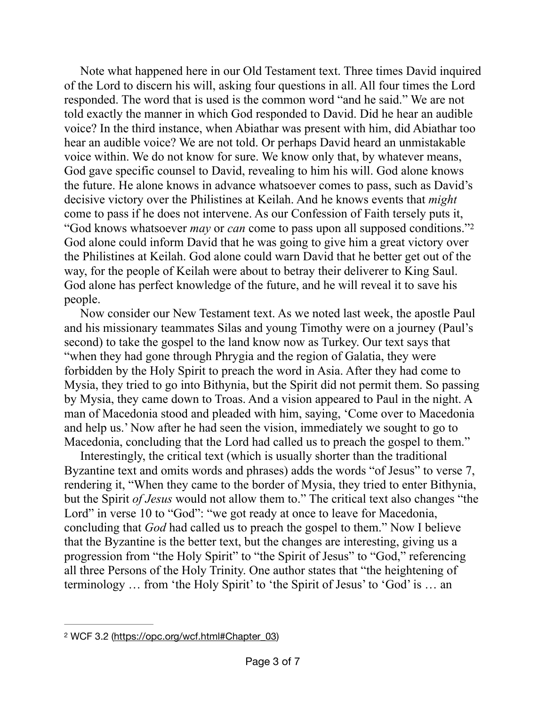Note what happened here in our Old Testament text. Three times David inquired of the Lord to discern his will, asking four questions in all. All four times the Lord responded. The word that is used is the common word "and he said." We are not told exactly the manner in which God responded to David. Did he hear an audible voice? In the third instance, when Abiathar was present with him, did Abiathar too hear an audible voice? We are not told. Or perhaps David heard an unmistakable voice within. We do not know for sure. We know only that, by whatever means, God gave specific counsel to David, revealing to him his will. God alone knows the future. He alone knows in advance whatsoever comes to pass, such as David's decisive victory over the Philistines at Keilah. And he knows events that *might* come to pass if he does not intervene. As our Confession of Faith tersely puts it, "God knows whatsoever *may* or *can* come to pass upon all supposed conditions.["2](#page-2-0) God alone could inform David that he was going to give him a great victory over the Philistines at Keilah. God alone could warn David that he better get out of the way, for the people of Keilah were about to betray their deliverer to King Saul. God alone has perfect knowledge of the future, and he will reveal it to save his people.

<span id="page-2-1"></span>Now consider our New Testament text. As we noted last week, the apostle Paul and his missionary teammates Silas and young Timothy were on a journey (Paul's second) to take the gospel to the land know now as Turkey. Our text says that "when they had gone through Phrygia and the region of Galatia, they were forbidden by the Holy Spirit to preach the word in Asia. After they had come to Mysia, they tried to go into Bithynia, but the Spirit did not permit them. So passing by Mysia, they came down to Troas. And a vision appeared to Paul in the night. A man of Macedonia stood and pleaded with him, saying, 'Come over to Macedonia and help us.' Now after he had seen the vision, immediately we sought to go to Macedonia, concluding that the Lord had called us to preach the gospel to them."

Interestingly, the critical text (which is usually shorter than the traditional Byzantine text and omits words and phrases) adds the words "of Jesus" to verse 7, rendering it, "When they came to the border of Mysia, they tried to enter Bithynia, but the Spirit *of Jesus* would not allow them to." The critical text also changes "the Lord" in verse 10 to "God": "we got ready at once to leave for Macedonia, concluding that *God* had called us to preach the gospel to them." Now I believe that the Byzantine is the better text, but the changes are interesting, giving us a progression from "the Holy Spirit" to "the Spirit of Jesus" to "God," referencing all three Persons of the Holy Trinity. One author states that "the heightening of terminology … from 'the Holy Spirit' to 'the Spirit of Jesus' to 'God' is … an

<span id="page-2-0"></span>WCF 3.2 ([https://opc.org/wcf.html#Chapter\\_03](https://opc.org/wcf.html#Chapter_03)) [2](#page-2-1)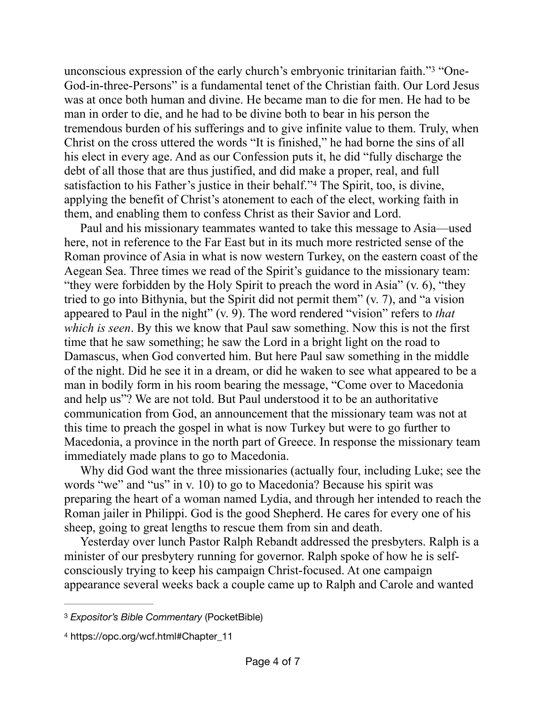<span id="page-3-2"></span>unconscious expression of the early church's embryonic trinitarian faith."<sup>3</sup> "One-God-in-three-Persons" is a fundamental tenet of the Christian faith. Our Lord Jesus was at once both human and divine. He became man to die for men. He had to be man in order to die, and he had to be divine both to bear in his person the tremendous burden of his sufferings and to give infinite value to them. Truly, when Christ on the cross uttered the words "It is finished," he had borne the sins of all his elect in every age. And as our Confession puts it, he did "fully discharge the debt of all those that are thus justified, and did make a proper, real, and full satisfactionto his Father's justice in their behalf."<sup>[4](#page-3-1)</sup> The Spirit, too, is divine, applying the benefit of Christ's atonement to each of the elect, working faith in them, and enabling them to confess Christ as their Savior and Lord.

<span id="page-3-3"></span>Paul and his missionary teammates wanted to take this message to Asia—used here, not in reference to the Far East but in its much more restricted sense of the Roman province of Asia in what is now western Turkey, on the eastern coast of the Aegean Sea. Three times we read of the Spirit's guidance to the missionary team: "they were forbidden by the Holy Spirit to preach the word in Asia"  $(v, 6)$ , "they" tried to go into Bithynia, but the Spirit did not permit them" (v. 7), and "a vision appeared to Paul in the night" (v. 9). The word rendered "vision" refers to *that which is seen*. By this we know that Paul saw something. Now this is not the first time that he saw something; he saw the Lord in a bright light on the road to Damascus, when God converted him. But here Paul saw something in the middle of the night. Did he see it in a dream, or did he waken to see what appeared to be a man in bodily form in his room bearing the message, "Come over to Macedonia and help us"? We are not told. But Paul understood it to be an authoritative communication from God, an announcement that the missionary team was not at this time to preach the gospel in what is now Turkey but were to go further to Macedonia, a province in the north part of Greece. In response the missionary team immediately made plans to go to Macedonia.

Why did God want the three missionaries (actually four, including Luke; see the words "we" and "us" in v. 10) to go to Macedonia? Because his spirit was preparing the heart of a woman named Lydia, and through her intended to reach the Roman jailer in Philippi. God is the good Shepherd. He cares for every one of his sheep, going to great lengths to rescue them from sin and death.

Yesterday over lunch Pastor Ralph Rebandt addressed the presbyters. Ralph is a minister of our presbytery running for governor. Ralph spoke of how he is selfconsciously trying to keep his campaign Christ-focused. At one campaign appearance several weeks back a couple came up to Ralph and Carole and wanted

<span id="page-3-0"></span>*Expositor's Bible Commentary* (PocketBible) [3](#page-3-2)

<span id="page-3-1"></span>[<sup>4</sup>](#page-3-3) https://opc.org/wcf.html#Chapter\_11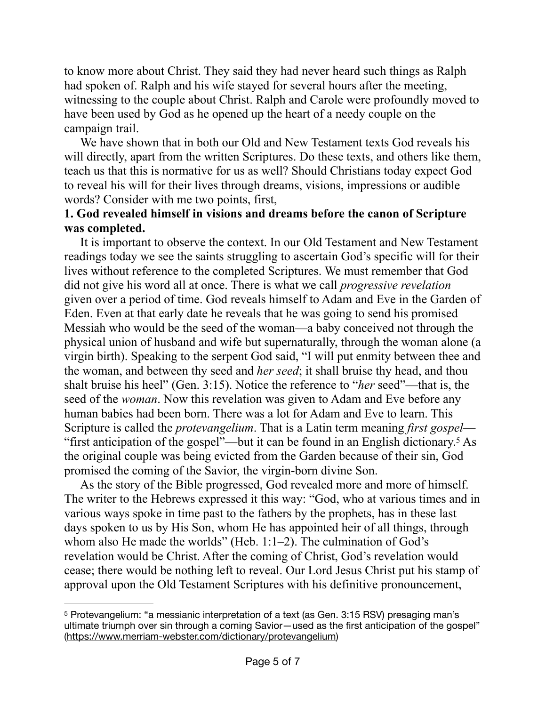to know more about Christ. They said they had never heard such things as Ralph had spoken of. Ralph and his wife stayed for several hours after the meeting, witnessing to the couple about Christ. Ralph and Carole were profoundly moved to have been used by God as he opened up the heart of a needy couple on the campaign trail.

We have shown that in both our Old and New Testament texts God reveals his will directly, apart from the written Scriptures. Do these texts, and others like them, teach us that this is normative for us as well? Should Christians today expect God to reveal his will for their lives through dreams, visions, impressions or audible words? Consider with me two points, first,

## **1. God revealed himself in visions and dreams before the canon of Scripture was completed.**

It is important to observe the context. In our Old Testament and New Testament readings today we see the saints struggling to ascertain God's specific will for their lives without reference to the completed Scriptures. We must remember that God did not give his word all at once. There is what we call *progressive revelation* given over a period of time. God reveals himself to Adam and Eve in the Garden of Eden. Even at that early date he reveals that he was going to send his promised Messiah who would be the seed of the woman—a baby conceived not through the physical union of husband and wife but supernaturally, through the woman alone (a virgin birth). Speaking to the serpent God said, "I will put enmity between thee and the woman, and between thy seed and *her seed*; it shall bruise thy head, and thou shalt bruise his heel" (Gen. 3:15). Notice the reference to "*her* seed"—that is, the seed of the *woman*. Now this revelation was given to Adam and Eve before any human babies had been born. There was a lot for Adam and Eve to learn. This Scripture is called the *protevangelium*. That is a Latin term meaning *first gospel*— "first anticipation of the gospel"—but it can be found in an English dictionary.<sup>[5](#page-4-0)</sup> As the original couple was being evicted from the Garden because of their sin, God promised the coming of the Savior, the virgin-born divine Son.

<span id="page-4-1"></span>As the story of the Bible progressed, God revealed more and more of himself. The writer to the Hebrews expressed it this way: "God, who at various times and in various ways spoke in time past to the fathers by the prophets, has in these last days spoken to us by His Son, whom He has appointed heir of all things, through whom also He made the worlds" (Heb. 1:1–2). The culmination of God's revelation would be Christ. After the coming of Christ, God's revelation would cease; there would be nothing left to reveal. Our Lord Jesus Christ put his stamp of approval upon the Old Testament Scriptures with his definitive pronouncement,

<span id="page-4-0"></span>Protevangelium: "a messianic interpretation of a text (as Gen. 3:15 RSV) presaging man's [5](#page-4-1) ultimate triumph over sin through a coming Savior—used as the first anticipation of the gospel" ([https://www.merriam-webster.com/dictionary/protevangelium\)](https://www.merriam-webster.com/dictionary/protevangelium)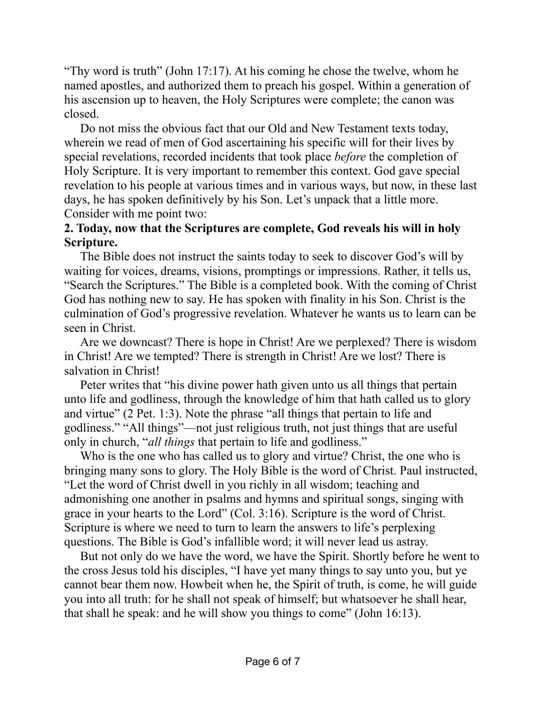"Thy word is truth" (John 17:17). At his coming he chose the twelve, whom he named apostles, and authorized them to preach his gospel. Within a generation of his ascension up to heaven, the Holy Scriptures were complete; the canon was closed.

Do not miss the obvious fact that our Old and New Testament texts today, wherein we read of men of God ascertaining his specific will for their lives by special revelations, recorded incidents that took place *before* the completion of Holy Scripture. It is very important to remember this context. God gave special revelation to his people at various times and in various ways, but now, in these last days, he has spoken definitively by his Son. Let's unpack that a little more. Consider with me point two:

## **2. Today, now that the Scriptures are complete, God reveals his will in holy Scripture.**

The Bible does not instruct the saints today to seek to discover God's will by waiting for voices, dreams, visions, promptings or impressions. Rather, it tells us, "Search the Scriptures." The Bible is a completed book. With the coming of Christ God has nothing new to say. He has spoken with finality in his Son. Christ is the culmination of God's progressive revelation. Whatever he wants us to learn can be seen in Christ.

Are we downcast? There is hope in Christ! Are we perplexed? There is wisdom in Christ! Are we tempted? There is strength in Christ! Are we lost? There is salvation in Christ!

Peter writes that "his divine power hath given unto us all things that pertain unto life and godliness, through the knowledge of him that hath called us to glory and virtue" (2 Pet. 1:3). Note the phrase "all things that pertain to life and godliness." "All things"—not just religious truth, not just things that are useful only in church, "*all things* that pertain to life and godliness."

Who is the one who has called us to glory and virtue? Christ, the one who is bringing many sons to glory. The Holy Bible is the word of Christ. Paul instructed, "Let the word of Christ dwell in you richly in all wisdom; teaching and admonishing one another in psalms and hymns and spiritual songs, singing with grace in your hearts to the Lord" (Col. 3:16). Scripture is the word of Christ. Scripture is where we need to turn to learn the answers to life's perplexing questions. The Bible is God's infallible word; it will never lead us astray.

But not only do we have the word, we have the Spirit. Shortly before he went to the cross Jesus told his disciples, "I have yet many things to say unto you, but ye cannot bear them now. Howbeit when he, the Spirit of truth, is come, he will guide you into all truth: for he shall not speak of himself; but whatsoever he shall hear, that shall he speak: and he will show you things to come" (John 16:13).